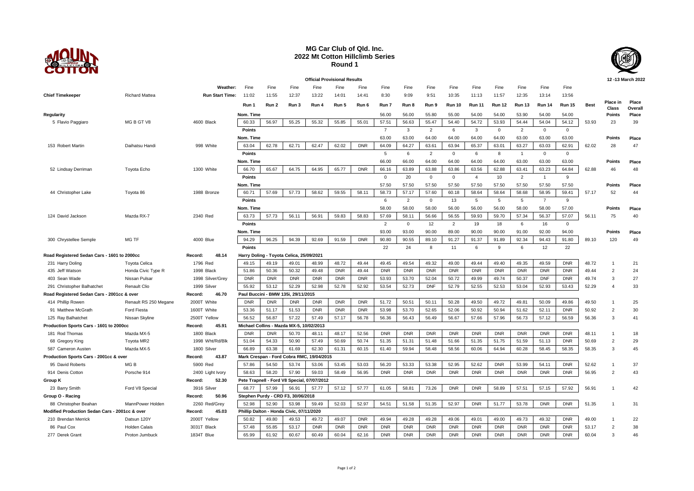

## **MG Car Club of Qld. Inc. 2022 Mt Cotton Hillclimb Series Round 1**



**Official Provisional Results 12 -13 March 2022 Weather:** Fine Fine Fine Fine Fine Fine Fine Fine Fine Fine Fine Fine Fine Fine Fine **Chief Timekeeper** Richard Mattea **Run Start Time:** 11:02 11:55 12:37 13:22 14:01 14:41 8:30 9:09 9:51 10:35 11:13 11:57 12:35 13:14 13:56 Run 1 Run 2 Run 3 Run 4 Run 5 Run 6 Run 7 Run 8 Run 9 Run 10 Run 11 Run 12 Run 13 Run 14 Run 15 Best **Class Place Overall Regularity Nom. Time** 56.00 56.00 55.80 55.00 54.00 54.00 53.90 54.00 54.00 **Points Place** 5 Flavio Paggiaro MG B GT V8 4600 Black | 60.33 | 56.97 | 55.25 | 55.32 | 55.83 | 55.47 | 54.40 | 54.72 | 53.93 | 54.44 | 54.04 | 54.12 | 53.93 23 39 **Points** 7 3 2 6 3 0 2 0 0 **Nom. Time** 63.00 63.00 64.00 64.00 64.00 64.00 63.00 63.00 63.00 **Points Place** 153 Robert Martin Daihatsu Handi 998 White 63.04 62.78 62.71 62.47 62.02 DNR 64.09 64.27 63.61 63.94 65.37 63.01 63.27 63.03 62.91 62.02 28 47 **Points** 2 5 6 2 0 6 8 1 0 0 0 **Points Nom. Time** 66.00 66.00 64.00 64.00 64.00 64.00 63.00 63.00 63.00 **Points Place** 52 Lindsay Derriman Toyota Echo 1300 White | 66.70 | 65.87 | 64.75 | 65.77 | DNR | 63.18 | 63.88 | 63.86 | 63.86 | 62.88 | 63.41 | 63.23 | 64.84 | 62.88 46 48 **Points** 0 20 0 0 4 10 2 1 9 **Nom. Time** 57.50 57.50 57.50 57.50 57.50 57.50 57.50 57.50 57.50 **Points Place** 44 Christopher Lake Toyota 86 1988 Bronze | 60.71 | 57.69 | 57.73 | 58.62 | 59.51 | 58.73 | 57.67 | 57.60 | 60.18 | 58.64 | 58.64 | 58.68 | 58.95 | 59.41 | 57.17 52 44 **Points** 6 2 0 13 5 5 5 7 9 **Nom. Time** 58.00 58.00 58.00 56.00 56.00 56.00 58.00 58.00 57.00 **Points Place** 124 David Jackson Mazda RX-7 2340 Red | 63.73 | 57.73 | 56.11 | 56.91 | 59.83 | 57.69 | 58.11 | 56.66 | 56.55 | 59.93 | 59.70 | 57.34 | 56.37 | 57.07 | 56.11 75 40 **Points** 2 0 12 2 19 18 6 16 0 **Nom. Time** 93.00 93.00 90.00 89.00 90.00 90.00 91.00 92.00 94.00 **Points Place** 300 Chrystellee Semple MG TF 4000 Blue 94.29 96.25 94.39 92.69 91.59 DNR 90.80 90.55 89.10 91.27 91.37 91.89 92.34 94.43 91.80 89.10 120 49 **Points** 22 24 8 11 6 9 6 12 22 **Road Registered Sedan Cars - 1601 to 2000cc Record: 48.14 Harry Doling - Toyota Celica, 25/09/2021** 231 Harry Doling Toyota Celica 1796 Red 49.15 49.19 49.01 48.99 48.72 49.44 49.45 49.54 49.32 49.00 49.44 49.40 49.35 49.59 DNR 48.72 1 21 435 Jeff Watson Honda Civic Type R 1998 Black 51.86 50.36 50.32 49.48 DNR 49.44 DNR DNR DNR DNR DNR DNR DNR DNR DNR 49.44 2 24 403 Sean Wade Nissan Pulsar 1998 Silver/Grey DNR DNR DNR DNR DNR DNR 53.93 53.70 52.04 50.72 49.99 49.74 50.37 DNF DNR 49.74 3 27 291 Christopher Balhatchet Renault Clio 1999 Silver 55.92 53.12 52.29 52.98 52.78 52.92 53.54 52.73 DNF 52.79 52.55 52.53 53.04 52.93 53.43 52.29 4 33 **Road Registered Sedan Cars - 2001cc & over Record: 46.70 Paul Buccini - BMW 135i, 29/11/2015** 414 Phillip Rowen Renault RS 250 Megane 2000T White DNR | DNR | DNR | DNR | DNR | DNR | 50.72 | 50.21 | 49.50 | 49.95 | 49.81 | 50.09 | 49.86 | 49.50 1 25 91 Matthew McGrath Ford Fiesta 1600T White | 53.36 | 51.17 | 51.53 | DNR | DNR | DNR | 53.98 | 53.70 | 52.65 | 52.06 | 50.92 | 50.94 | 51.62 | 52.11 | DNR | 50.92 2 30 125 Ray Balhatchet Nissan Skyline 2500T Yellow | 56.52 | 56.87 | 57.42 | 57.17 | 56.78 | 56.49 | 56.49 | 56.67 | 57.66 | 57.96 | 57.96 | 56.73 | 57.12 | 56.59 | 56.36 3 41 **Production Sports Cars - 1601 to 2000cc Record: 45.91 Michael Collins - Mazda MX-5, 10/02/2013** 181 Rod Thomas Mazda MX-5 1800 Black DNR DNR 50.70 48.11 48.17 52.56 DNR DNR DNR DNR DNR DNR DNR DNR DNR 48.11 1 18 68 Gregory King Toyota MR2 1998 Wht/Rd/Blk 51.04 54.33 50.90 57.49 50.74 51.35 51.48 51.66 51.55 51.55 51.59 51.13 DNR 50.69 2 29 587 Cameron Austen Mazda MX-5 1800 Silver 66.89 63.38 61.69 62.30 61.31 60.15 61.40 59.94 58.48 58.45 60.06 64.94 60.28 58.45 58.35 58.35 3 45 **Production Sports Cars - 2001cc & over Record: 43.87 Mark Crespan - Ford Cobra RMC, 19/04/2015** 95 David Roberts 5900 Red 57.86 54.50 53.74 53.04 53.05 56.20 53.33 53.38 52.95 52.62 37 914 Denis Cotton Porsche 914 2400 Light Ivory 58.63 58.20 57.90 59.03 58.49 56.95 DNR DNR DNR DNR DNR DNR DNR DNR DNR 56.95 2 43 **Group K Record: 52.30 Pete Trapnell - Ford V8 Special, 07/07/2012** 23 Barry Smith Ford V8 Special 3916 Silver | 68.77 | 57.99 | 56.91 | 57.77 | 57.17 | 61.05 | 58.81 | 73.26 | DNR | DNR | 58.89 | 57.51 | 57.15 | 57.92 | 56.91 1 42 **Group O - Racing Record: 50.96 Stephen Purdy - CRD F3, 30/06/2018** 88 Christopher Beahan MannPower Holden 2260 Red/Grey 52.98 52.99 53.98 52.97 54.51 51.35 52.97 DNR 51.77 53.78 DNR DNR 51.35 1 31 **Modified Production Sedan Cars - 2001cc & over Record: 45.03 Phillip Dalton - Honda Civic, 07/11/2020** 210 Brendan Merrick Datsun 120Y 2000T Yellow | 50.82 | 49.80 | 49.53 | 49.72 | 49.07 | DNR | 49.94 | 49.28 | 49.28 | 49.98 | 49.01 | 49.00 | 49.73 | 49.32 | DNR | 49.00 1 22 86 Paul Cox Holden Calais 3031T Black 57.48 55.85 53.17 DNR DNR DNR DNR DNR DNR DNR DNR DNR DNR DNR DNR 53.17 2 38 277 Derek Grant Proton Jumbuck 1834T Blue 65.99 61.92 60.67 60.49 60.04 62.16 DNR DNR DNR DNR DNR DNR DNR DNR DNR 60.04 3 46